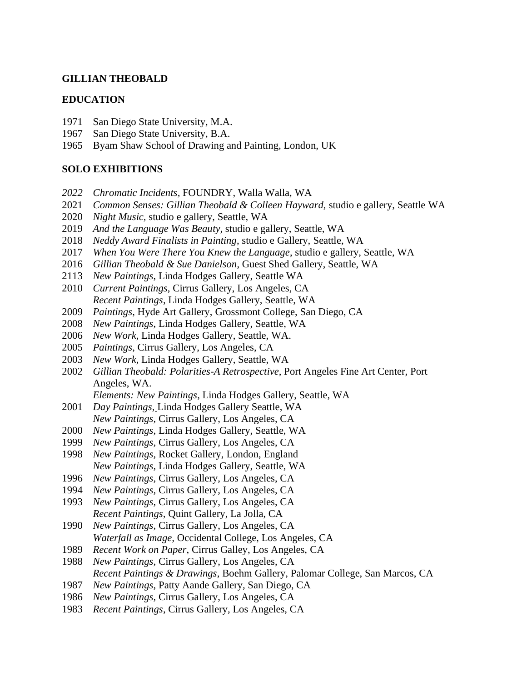## **GILLIAN THEOBALD**

### **EDUCATION**

- San Diego State University, M.A.
- San Diego State University, B.A.
- Byam Shaw School of Drawing and Painting, London, UK

### **SOLO EXHIBITIONS**

- *Chromatic Incidents,* FOUNDRY, Walla Walla, WA
- *Common Senses: Gillian Theobald & Colleen Hayward,* studio e gallery, Seattle WA
- *Night Music,* studio e gallery, Seattle, WA
- *And the Language Was Beauty,* studio e gallery, Seattle, WA
- *Neddy Award Finalists in Painting*, studio e Gallery, Seattle, WA
- *When You Were There You Knew the Language*, studio e gallery, Seattle, WA
- *Gillian Theobald & Sue Danielson*, Guest Shed Gallery, Seattle, WA
- *New Paintings*, Linda Hodges Gallery, Seattle WA
- *Current Paintings*, Cirrus Gallery, Los Angeles, CA *Recent Paintings*, Linda Hodges Gallery, Seattle, WA
- *Paintings*, Hyde Art Gallery, Grossmont College, San Diego, CA
- *New Paintings*, Linda Hodges Gallery, Seattle, WA
- *New Work*, Linda Hodges Gallery, Seattle, WA.
- *Paintings*, Cirrus Gallery, Los Angeles, CA
- *New Work*, Linda Hodges Gallery, Seattle, WA
- *Gillian Theobald: Polarities-A Retrospective*, Port Angeles Fine Art Center, Port Angeles, WA.
	- *Elements: New Paintings*, Linda Hodges Gallery, Seattle, WA
- *Day Paintings,* Linda Hodges Gallery Seattle, WA *New Paintings,* Cirrus Gallery, Los Angeles, CA
- *New Paintings,* Linda Hodges Gallery, Seattle, WA
- *New Paintings,* Cirrus Gallery, Los Angeles, CA
- *New Paintings,* Rocket Gallery, London, England *New Paintings,* Linda Hodges Gallery, Seattle, WA
- *New Paintings,* Cirrus Gallery, Los Angeles, CA
- *New Paintings,* Cirrus Gallery, Los Angeles, CA
- *New Paintings,* Cirrus Gallery, Los Angeles, CA *Recent Paintings,* Quint Gallery, La Jolla, CA
- *New Paintings,* Cirrus Gallery, Los Angeles, CA *Waterfall as Image,* Occidental College, Los Angeles, CA
- *Recent Work on Paper*, Cirrus Galley, Los Angeles, CA
- *New Paintings,* Cirrus Gallery, Los Angeles, CA *Recent Paintings & Drawings*, Boehm Gallery, Palomar College, San Marcos, CA
- *New Paintings*, Patty Aande Gallery, San Diego, CA
- *New Paintings,* Cirrus Gallery, Los Angeles, CA
- *Recent Paintings*, Cirrus Gallery, Los Angeles, CA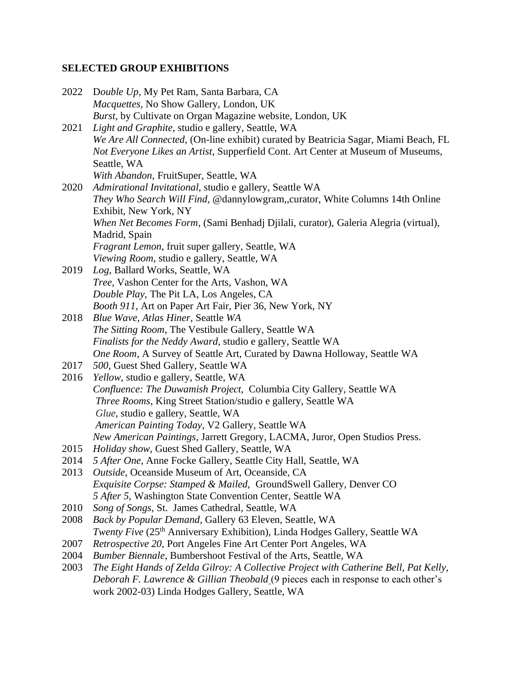# **SELECTED GROUP EXHIBITIONS**

| 2022 | Double Up, My Pet Ram, Santa Barbara, CA                                                                                                                                |
|------|-------------------------------------------------------------------------------------------------------------------------------------------------------------------------|
|      | Macquettes, No Show Gallery, London, UK                                                                                                                                 |
|      | Burst, by Cultivate on Organ Magazine website, London, UK                                                                                                               |
| 2021 | Light and Graphite, studio e gallery, Seattle, WA                                                                                                                       |
|      | We Are All Connected, (On-line exhibit) curated by Beatricia Sagar, Miami Beach, FL<br>Not Everyone Likes an Artist, Supperfield Cont. Art Center at Museum of Museums, |
|      | Seattle, WA                                                                                                                                                             |
|      | With Abandon, FruitSuper, Seattle, WA                                                                                                                                   |
| 2020 | Admirational Invitational, studio e gallery, Seattle WA                                                                                                                 |
|      | They Who Search Will Find, @dannylowgram,,curator, White Columns 14th Online<br>Exhibit, New York, NY                                                                   |
|      | When Net Becomes Form, (Sami Benhadj Djilali, curator), Galeria Alegria (virtual),                                                                                      |
|      | Madrid, Spain                                                                                                                                                           |
|      | Fragrant Lemon, fruit super gallery, Seattle, WA                                                                                                                        |
|      | Viewing Room, studio e gallery, Seattle, WA                                                                                                                             |
| 2019 | Log, Ballard Works, Seattle, WA                                                                                                                                         |
|      | Tree, Vashon Center for the Arts, Vashon, WA                                                                                                                            |
|      | Double Play, The Pit LA, Los Angeles, CA                                                                                                                                |
|      | Booth 911, Art on Paper Art Fair, Pier 36, New York, NY                                                                                                                 |
| 2018 | Blue Wave, Atlas Hiner, Seattle WA                                                                                                                                      |
|      | The Sitting Room, The Vestibule Gallery, Seattle WA                                                                                                                     |
|      | Finalists for the Neddy Award, studio e gallery, Seattle WA                                                                                                             |
|      | One Room, A Survey of Seattle Art, Curated by Dawna Holloway, Seattle WA                                                                                                |
| 2017 | 500, Guest Shed Gallery, Seattle WA                                                                                                                                     |
| 2016 | Yellow, studio e gallery, Seattle, WA                                                                                                                                   |
|      | Confluence: The Duwamish Project, Columbia City Gallery, Seattle WA                                                                                                     |
|      | Three Rooms, King Street Station/studio e gallery, Seattle WA                                                                                                           |
|      | Glue, studio e gallery, Seattle, WA                                                                                                                                     |
|      | American Painting Today, V2 Gallery, Seattle WA                                                                                                                         |
|      | New American Paintings, Jarrett Gregory, LACMA, Juror, Open Studios Press.                                                                                              |
| 2015 | Holiday show, Guest Shed Gallery, Seattle, WA                                                                                                                           |
| 2014 | 5 After One, Anne Focke Gallery, Seattle City Hall, Seattle, WA                                                                                                         |
| 2013 | Outside, Oceanside Museum of Art, Oceanside, CA                                                                                                                         |
|      | Exquisite Corpse: Stamped & Mailed, GroundSwell Gallery, Denver CO                                                                                                      |
|      | 5 After 5, Washington State Convention Center, Seattle WA                                                                                                               |
| 2010 | Song of Songs, St. James Cathedral, Seattle, WA                                                                                                                         |
| 2008 | Back by Popular Demand, Gallery 63 Eleven, Seattle, WA                                                                                                                  |
|      | <i>Twenty Five</i> (25 <sup>th</sup> Anniversary Exhibition), Linda Hodges Gallery, Seattle WA                                                                          |
| 2007 | Retrospective 20, Port Angeles Fine Art Center Port Angeles, WA                                                                                                         |
| 2004 | Bumber Biennale, Bumbershoot Festival of the Arts, Seattle, WA                                                                                                          |
| 2003 | The Eight Hands of Zelda Gilroy: A Collective Project with Catherine Bell, Pat Kelly,                                                                                   |
|      | Deborah F. Lawrence & Gillian Theobald (9 pieces each in response to each other's                                                                                       |
|      | work 2002-03) Linda Hodges Gallery, Seattle, WA                                                                                                                         |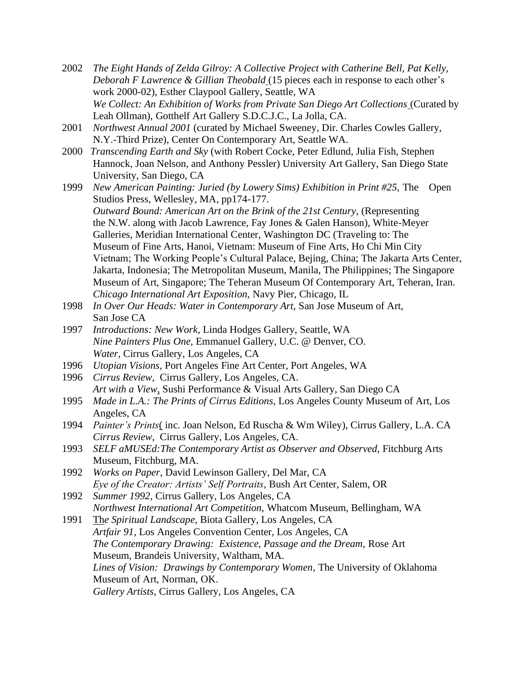- 2002 *The Eight Hands of Zelda Gilroy: A Collective Project with Catherine Bell, Pat Kelly, Deborah F Lawrence & Gillian Theobald* (15 pieces each in response to each other's work 2000-02), Esther Claypool Gallery, Seattle, WA *We Collect: An Exhibition of Works from Private San Diego Art Collections* (Curated by Leah Ollman), Gotthelf Art Gallery S.D.C.J.C., La Jolla, CA.
- 2001 *Northwest Annual 2001* (curated by Michael Sweeney, Dir. Charles Cowles Gallery, N.Y.-Third Prize), Center On Contemporary Art, Seattle WA.
- 2000 *Transcending Earth and Sky* (with Robert Cocke, Peter Edlund, Julia Fish, Stephen Hannock, Joan Nelson, and Anthony Pessler) University Art Gallery, San Diego State University, San Diego, CA
- 1999 *New American Painting: Juried (by Lowery Sims) Exhibition in Print #25,* The Open Studios Press, Wellesley, MA, pp174-177. *Outward Bound: American Art on the Brink of the 21st Century*, (Representing the N.W. along with Jacob Lawrence, Fay Jones & Galen Hanson), White-Meyer Galleries, Meridian International Center, Washington DC (Traveling to: The Museum of Fine Arts, Hanoi, Vietnam: Museum of Fine Arts, Ho Chi Min City Vietnam; The Working People's Cultural Palace, Bejing, China; The Jakarta Arts Center, Jakarta, Indonesia; The Metropolitan Museum, Manila, The Philippines; The Singapore Museum of Art, Singapore; The Teheran Museum Of Contemporary Art, Teheran, Iran. *Chicago International Art Exposition,* Navy Pier, Chicago, IL
- 1998 *In Over Our Heads: Water in Contemporary Art,* San Jose Museum of Art, San Jose CA
- 1997 *Introductions: New Work*, Linda Hodges Gallery, Seattle, WA *Nine Painters Plus One,* Emmanuel Gallery, U.C. @ Denver, CO. *Water,* Cirrus Gallery, Los Angeles, CA
- 1996 *Utopian Visions,* Port Angeles Fine Art Center, Port Angeles, WA
- 1996 *Cirrus Review,* Cirrus Gallery, Los Angeles, CA.
- *Art with a View*, Sushi Performance & Visual Arts Gallery, San Diego CA
- 1995 *Made in L.A.: The Prints of Cirrus Editions,* Los Angeles County Museum of Art, Los Angeles, CA
- 1994 *Painter's Prints*( inc. Joan Nelson, Ed Ruscha & Wm Wiley), Cirrus Gallery, L.A. CA *Cirrus Review,* Cirrus Gallery, Los Angeles, CA.
- 1993 *SELF aMUSEd:The Contemporary Artist as Observer and Observed,* Fitchburg Arts Museum, Fitchburg, MA.
- 1992 *Works on Paper*, David Lewinson Gallery, Del Mar, CA *Eye of the Creator: Artists' Self Portraits*, Bush Art Center, Salem, OR
- 1992 *Summer 1992,* Cirrus Gallery, Los Angeles, CA *Northwest International Art Competition,* Whatcom Museum, Bellingham, WA
- 1991 Th*e Spiritual Landscape*, Biota Gallery, Los Angeles, CA *Artfair 91,* Los Angeles Convention Center, Los Angeles, CA *The Contemporary Drawing: Existence, Passage and the Dream,* Rose Art Museum, Brandeis University, Waltham, MA. *Lines of Vision: Drawings by Contemporary Women,* The University of Oklahoma Museum of Art, Norman, OK. *Gallery Artists,* Cirrus Gallery, Los Angeles, CA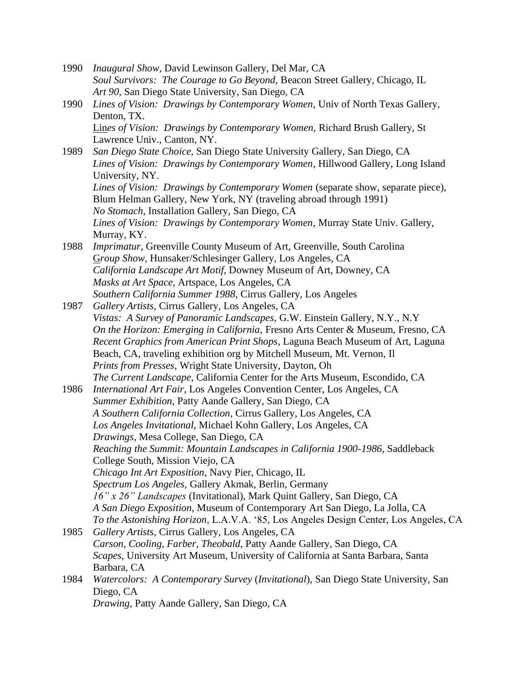- 1990 *Inaugural Show,* David Lewinson Gallery, Del Mar, CA *Soul Survivors: The Courage to Go Beyond,* Beacon Street Gallery, Chicago, IL *Art 90,* San Diego State University, San Diego, CA
- 1990 *Lines of Vision: Drawings by Contemporary Women,* Univ of North Texas Gallery, Denton, TX. Lin*es of Vision: Drawings by Contemporary Women,* Richard Brush Gallery, St

Lawrence Univ., Canton, NY. 1989 *San Diego State Choice,* San Diego State University Gallery, San Diego, CA *Lines of Vision: Drawings by Contemporary Women,* Hillwood Gallery, Long Island University, NY. *Lines of Vision: Drawings by Contemporary Women* (separate show, separate piece), Blum Helman Gallery, New York, NY (traveling abroad through 1991) *No Stomach*, Installation Gallery, San Diego, CA *Lines of Vision: Drawings by Contemporary Women,* Murray State Univ. Gallery, Murray, KY. 1988 *Imprimatur*, Greenville County Museum of Art, Greenville, South Carolina

- G*roup Show,* Hunsaker/Schlesinger Gallery, Los Angeles, CA *California Landscape Art Motif,* Downey Museum of Art, Downey, CA *Masks at Art Space,* Artspace, Los Angeles, CA *Southern California Summer 1988*, Cirrus Gallery, Los Angeles
- 1987 *Gallery Artists,* Cirrus Gallery, Los Angeles, CA *Vistas: A Survey of Panoramic Landscapes,* G.W. Einstein Gallery, N.Y., N.Y *On the Horizon: Emerging in California*, Fresno Arts Center & Museum, Fresno, CA *Recent Graphics from American Print Shops*, Laguna Beach Museum of Art, Laguna Beach, CA, traveling exhibition org by Mitchell Museum, Mt. Vernon, Il *Prints from Presses*, Wright State University, Dayton, Oh *The Current Landscape*, California Center for the Arts Museum, Escondido, CA
- 1986 *International Art Fair*, Los Angeles Convention Center, Los Angeles, CA *Summer Exhibition,* Patty Aande Gallery, San Diego, CA *A Southern California Collection*, Cirrus Gallery, Los Angeles, CA *Los Angeles Invitational,* Michael Kohn Gallery, Los Angeles, CA *Drawings,* Mesa College, San Diego, CA *Reaching the Summit: Mountain Landscapes in California 1900-1986,* Saddleback College South, Mission Viejo, CA *Chicago Int Art Exposition*, Navy Pier, Chicago, IL *Spectrum Los Angeles,* Gallery Akmak, Berlin, Germany *16" x 26" Landscapes* (Invitational), Mark Quint Gallery, San Diego, CA *A San Diego Exposition*, Museum of Contemporary Art San Diego, La Jolla, CA *To the Astonishing Horizon*, L.A.V.A. '85, Los Angeles Design Center, Los Angeles, CA
- 1985 *Gallery Artists,* Cirrus Gallery, Los Angeles, CA *Carson, Cooling, Farber, Theobald,* Patty Aande Gallery, San Diego, CA *Scapes,* University Art Museum, University of California at Santa Barbara, Santa Barbara, CA
- 1984 *Watercolors: A Contemporary Survey* (*Invitational*), San Diego State University, San Diego, CA *Drawing,* Patty Aande Gallery, San Diego, CA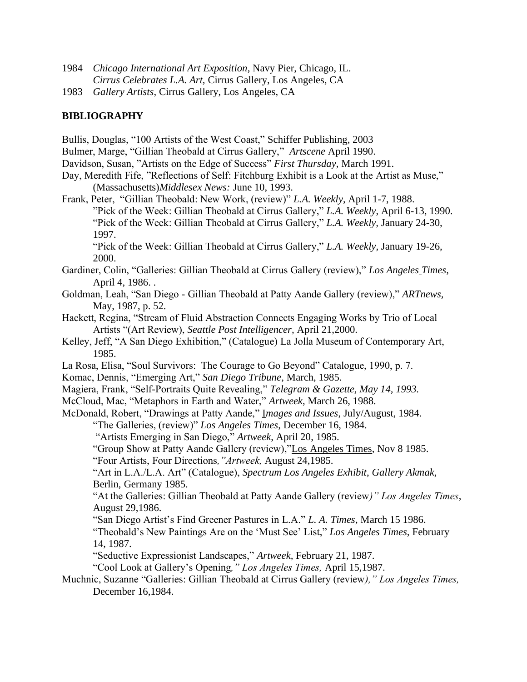- 1984 *Chicago International Art Exposition*, Navy Pier, Chicago, IL. *Cirrus Celebrates L.A. Art,* Cirrus Gallery, Los Angeles, CA
- 1983 *Gallery Artists*, Cirrus Gallery, Los Angeles, CA

## **BIBLIOGRAPHY**

Bullis, Douglas, "100 Artists of the West Coast," Schiffer Publishing, 2003 Bulmer, Marge, "Gillian Theobald at Cirrus Gallery," *Artscene* April 1990. Davidson, Susan, "Artists on the Edge of Success" *First Thursday*, March 1991. Day, Meredith Fife, "Reflections of Self: Fitchburg Exhibit is a Look at the Artist as Muse," (Massachusetts)*Middlesex News:* June 10, 1993. Frank, Peter, "Gillian Theobald: New Work, (review)" *L.A. Weekly*, April 1-7, 1988. "Pick of the Week: Gillian Theobald at Cirrus Gallery," *L.A. Weekly*, April 6-13, 1990. "Pick of the Week: Gillian Theobald at Cirrus Gallery," *L.A. Weekly,* January 24-30, 1997. "Pick of the Week: Gillian Theobald at Cirrus Gallery," *L.A. Weekly*, January 19-26, 2000. Gardiner, Colin, "Galleries: Gillian Theobald at Cirrus Gallery (review)," *Los Angeles Times*, April 4, 1986. . Goldman, Leah, "San Diego - Gillian Theobald at Patty Aande Gallery (review)," *ARTnews,* May, 1987, p. 52. Hackett, Regina, "Stream of Fluid Abstraction Connects Engaging Works by Trio of Local Artists "(Art Review), *Seattle Post Intelligencer,* April 21,2000. Kelley, Jeff, "A San Diego Exhibition," (Catalogue) La Jolla Museum of Contemporary Art, 1985. La Rosa, Elisa, "Soul Survivors: The Courage to Go Beyond" Catalogue, 1990, p. 7. Komac, Dennis, "Emerging Art," *San Diego Tribune,* March, 1985. Magiera, Frank, "Self-Portraits Quite Revealing," *Telegram & Gazette, May 14, 1993.* McCloud, Mac, "Metaphors in Earth and Water," *Artweek*, March 26, 1988. McDonald, Robert, "Drawings at Patty Aande," I*mages and Issues*, July/August, 1984. "The Galleries, (review)" *Los Angeles Times*, December 16, 1984. "Artists Emerging in San Diego," *Artweek*, April 20, 1985. "Group Show at Patty Aande Gallery (review),"Los Angeles Times, Nov 8 1985. "Four Artists, Four Directions*,"Artweek,* August 24,1985. "Art in L.A./L.A. Art" (Catalogue), *Spectrum Los Angeles Exhibit*, *Gallery Akmak*, Berlin, Germany 1985. "At the Galleries: Gillian Theobald at Patty Aande Gallery (review*)" Los Angeles Times*, August 29,1986. "San Diego Artist's Find Greener Pastures in L.A." *L. A. Times*, March 15 1986. "Theobald's New Paintings Are on the 'Must See' List," *Los Angeles Times,* February 14, 1987. "Seductive Expressionist Landscapes," *Artweek,* February 21, 1987. "Cool Look at Gallery's Opening*," Los Angeles Times,* April 15,1987. Muchnic, Suzanne "Galleries: Gillian Theobald at Cirrus Gallery (review*)," Los Angeles Times,*

December 16,1984.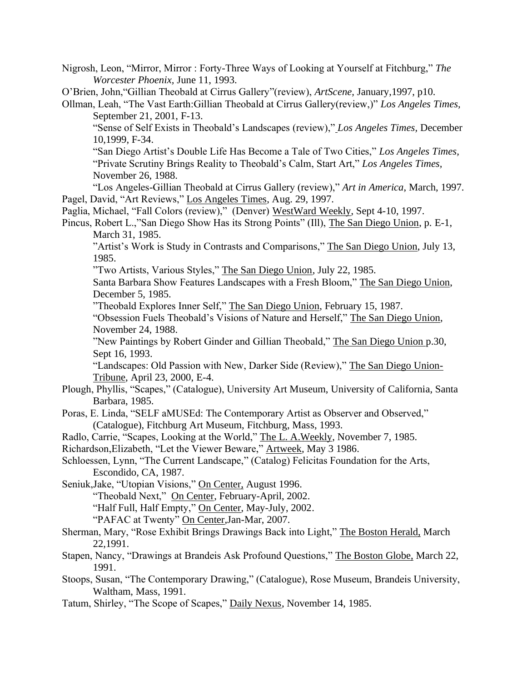Nigrosh, Leon, "Mirror, Mirror : Forty-Three Ways of Looking at Yourself at Fitchburg," *The Worcester Phoenix,* June 11, 1993.

O'Brien, John,"Gillian Theobald at Cirrus Gallery"(review), *ArtScene,* January,1997, p10.

Ollman, Leah, "The Vast Earth:Gillian Theobald at Cirrus Gallery(review,)" *Los Angeles Times,* September 21, 2001, F-13.

"Sense of Self Exists in Theobald's Landscapes (review)," *Los Angeles Times,* December 10,1999, F-34.

"San Diego Artist's Double Life Has Become a Tale of Two Cities," *Los Angeles Times,* "Private Scrutiny Brings Reality to Theobald's Calm, Start Art," *Los Angeles Times,*  November 26, 1988.

"Los Angeles-Gillian Theobald at Cirrus Gallery (review)," *Art in America*, March, 1997. Pagel, David, "Art Reviews," Los Angeles Times, Aug. 29, 1997.

Paglia, Michael, "Fall Colors (review)," (Denver) WestWard Weekly, Sept 4-10, 1997.

Pincus, Robert L.,"San Diego Show Has its Strong Points" (Ill), The San Diego Union, p. E-1, March 31, 1985.

"Artist's Work is Study in Contrasts and Comparisons," The San Diego Union, July 13, 1985.

"Two Artists, Various Styles," The San Diego Union, July 22, 1985.

Santa Barbara Show Features Landscapes with a Fresh Bloom," The San Diego Union, December 5, 1985.

"Theobald Explores Inner Self," The San Diego Union, February 15, 1987.

"Obsession Fuels Theobald's Visions of Nature and Herself," The San Diego Union, November 24, 1988.

"New Paintings by Robert Ginder and Gillian Theobald," The San Diego Union p.30, Sept 16, 1993.

"Landscapes: Old Passion with New, Darker Side (Review)," The San Diego Union-Tribune, April 23, 2000, E-4.

- Plough, Phyllis, "Scapes," (Catalogue), University Art Museum, University of California, Santa Barbara, 1985.
- Poras, E. Linda, "SELF aMUSEd: The Contemporary Artist as Observer and Observed," (Catalogue), Fitchburg Art Museum, Fitchburg, Mass, 1993.
- Radlo, Carrie, "Scapes, Looking at the World," The L. A.Weekly, November 7, 1985.

Richardson,Elizabeth, "Let the Viewer Beware," Artweek, May 3 1986.

Schloessen, Lynn, "The Current Landscape," (Catalog) Felicitas Foundation for the Arts, Escondido, CA, 1987.

Seniuk,Jake, "Utopian Visions," On Center, August 1996. "Theobald Next," On Center, February-April, 2002.

"Half Full, Half Empty," On Center, May-July, 2002.

"PAFAC at Twenty" On Center,Jan-Mar, 2007.

Sherman, Mary, "Rose Exhibit Brings Drawings Back into Light," The Boston Herald, March 22,1991.

Stapen, Nancy, "Drawings at Brandeis Ask Profound Questions," The Boston Globe, March 22, 1991.

Stoops, Susan, "The Contemporary Drawing," (Catalogue), Rose Museum, Brandeis University, Waltham, Mass, 1991.

Tatum, Shirley, "The Scope of Scapes," Daily Nexus, November 14, 1985.